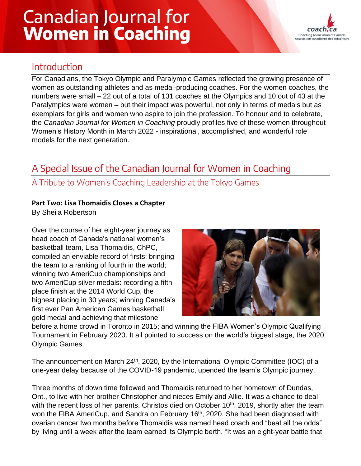# **Canadian Journal for Women in Coaching**



## Introduction

For Canadians, the Tokyo Olympic and Paralympic Games reflected the growing presence of women as outstanding athletes and as medal-producing coaches. For the women coaches, the numbers were small – 22 out of a total of 131 coaches at the Olympics and 10 out of 43 at the Paralympics were women – but their impact was powerful, not only in terms of medals but as exemplars for girls and women who aspire to join the profession. To honour and to celebrate, the *Canadian Journal for Women in Coaching* proudly profiles five of these women throughout Women's History Month in March 2022 - inspirational, accomplished, and wonderful role models for the next generation.

# A Special Issue of the Canadian Journal for Women in Coaching

### A Tribute to Women's Coaching Leadership at the Tokyo Games

#### **Part Two: Lisa Thomaidis Closes a Chapter**

By Sheila Robertson

Over the course of her eight-year journey as head coach of Canada's national women's basketball team, Lisa Thomaidis, ChPC, compiled an enviable record of firsts: bringing the team to a ranking of fourth in the world; winning two AmeriCup championships and two AmeriCup silver medals: recording a fifthplace finish at the 2014 World Cup, the highest placing in 30 years; winning Canada's first ever Pan American Games basketball gold medal and achieving that milestone



before a home crowd in Toronto in 2015; and winning the FIBA Women's Olympic Qualifying Tournament in February 2020. It all pointed to success on the world's biggest stage, the 2020 Olympic Games.

The announcement on March  $24<sup>th</sup>$ , 2020, by the International Olympic Committee (IOC) of a one-year delay because of the COVID-19 pandemic, upended the team's Olympic journey.

Three months of down time followed and Thomaidis returned to her hometown of Dundas, Ont., to live with her brother Christopher and nieces Emily and Allie. It was a chance to deal with the recent loss of her parents. Christos died on October 10<sup>th</sup>, 2019, shortly after the team won the FIBA AmeriCup, and Sandra on February 16<sup>th</sup>, 2020. She had been diagnosed with ovarian cancer two months before Thomaidis was named head coach and "beat all the odds" by living until a week after the team earned its Olympic berth. "It was an eight-year battle that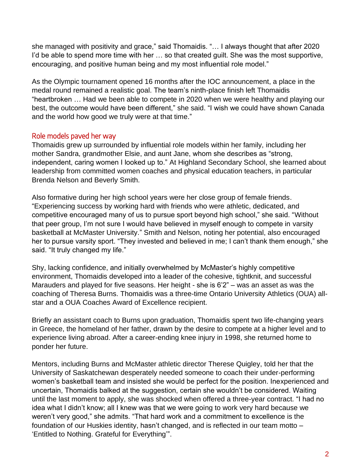she managed with positivity and grace," said Thomaidis. "… I always thought that after 2020 I'd be able to spend more time with her ... so that created guilt. She was the most supportive, encouraging, and positive human being and my most influential role model."

As the Olympic tournament opened 16 months after the IOC announcement, a place in the medal round remained a realistic goal. The team's ninth-place finish left Thomaidis "heartbroken … Had we been able to compete in 2020 when we were healthy and playing our best, the outcome would have been different," she said. "I wish we could have shown Canada and the world how good we truly were at that time."

#### Role models paved her way

Thomaidis grew up surrounded by influential role models within her family, including her mother Sandra, grandmother Elsie, and aunt Jane, whom she describes as "strong, independent, caring women I looked up to." At Highland Secondary School, she learned about leadership from committed women coaches and physical education teachers, in particular Brenda Nelson and Beverly Smith.

Also formative during her high school years were her close group of female friends. "Experiencing success by working hard with friends who were athletic, dedicated, and competitive encouraged many of us to pursue sport beyond high school," she said. "Without that peer group, I'm not sure I would have believed in myself enough to compete in varsity basketball at McMaster University." Smith and Nelson, noting her potential, also encouraged her to pursue varsity sport. "They invested and believed in me; I can't thank them enough," she said. "It truly changed my life."

Shy, lacking confidence, and initially overwhelmed by McMaster's highly competitive environment, Thomaidis developed into a leader of the cohesive, tightknit, and successful Marauders and played for five seasons. Her height - she is 6'2" – was an asset as was the coaching of Theresa Burns. Thomaidis was a three-time Ontario University Athletics (OUA) allstar and a OUA Coaches Award of Excellence recipient.

Briefly an assistant coach to Burns upon graduation, Thomaidis spent two life-changing years in Greece, the homeland of her father, drawn by the desire to compete at a higher level and to experience living abroad. After a career-ending knee injury in 1998, she returned home to ponder her future.

Mentors, including Burns and McMaster athletic director Therese Quigley, told her that the University of Saskatchewan desperately needed someone to coach their under-performing women's basketball team and insisted she would be perfect for the position. Inexperienced and uncertain, Thomaidis balked at the suggestion, certain she wouldn't be considered. Waiting until the last moment to apply, she was shocked when offered a three-year contract. "I had no idea what I didn't know; all I knew was that we were going to work very hard because we weren't very good," she admits. "That hard work and a commitment to excellence is the foundation of our Huskies identity, hasn't changed, and is reflected in our team motto – 'Entitled to Nothing. Grateful for Everything'".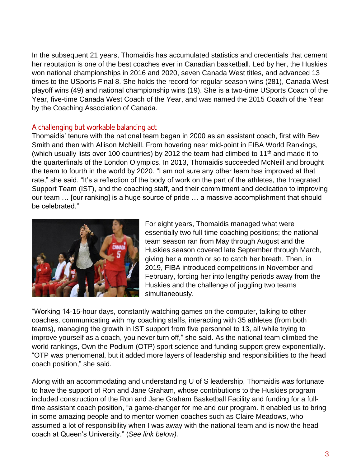In the subsequent 21 years, Thomaidis has accumulated statistics and credentials that cement her reputation is one of the best coaches ever in Canadian basketball. Led by her, the Huskies won national championships in 2016 and 2020, seven Canada West titles, and advanced 13 times to the USports Final 8. She holds the record for regular season wins (281), Canada West playoff wins (49) and national championship wins (19). She is a two-time USports Coach of the Year, five-time Canada West Coach of the Year, and was named the 2015 Coach of the Year by the Coaching Association of Canada.

#### A challenging but workable balancing act

Thomaidis' tenure with the national team began in 2000 as an assistant coach, first with Bev Smith and then with Allison McNeill. From hovering near mid-point in FIBA World Rankings, (which usually lists over 100 countries) by 2012 the team had climbed to 11<sup>th</sup> and made it to the quarterfinals of the London Olympics. In 2013, Thomaidis succeeded McNeill and brought the team to fourth in the world by 2020. "I am not sure any other team has improved at that rate," she said. "It's a reflection of the body of work on the part of the athletes, the Integrated Support Team (IST), and the coaching staff, and their commitment and dedication to improving our team … [our ranking] is a huge source of pride … a massive accomplishment that should be celebrated."



For eight years, Thomaidis managed what were essentially two full-time coaching positions; the national team season ran from May through August and the Huskies season covered late September through March, giving her a month or so to catch her breath. Then, in 2019, FIBA introduced competitions in November and February, forcing her into lengthy periods away from the Huskies and the challenge of juggling two teams simultaneously.

"Working 14-15-hour days, constantly watching games on the computer, talking to other coaches, communicating with my coaching staffs, interacting with 35 athletes (from both teams), managing the growth in IST support from five personnel to 13, all while trying to improve yourself as a coach, you never turn off," she said. As the national team climbed the world rankings, Own the Podium (OTP) sport science and funding support grew exponentially. "OTP was phenomenal, but it added more layers of leadership and responsibilities to the head coach position," she said.

Along with an accommodating and understanding U of S leadership, Thomaidis was fortunate to have the support of Ron and Jane Graham, whose contributions to the Huskies program included construction of the Ron and Jane Graham Basketball Facility and funding for a fulltime assistant coach position, "a game-changer for me and our program. It enabled us to bring in some amazing people and to mentor women coaches such as Claire Meadows, who assumed a lot of responsibility when I was away with the national team and is now the head coach at Queen's University." (*See link below).*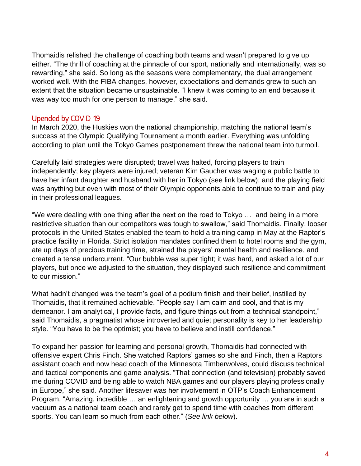Thomaidis relished the challenge of coaching both teams and wasn't prepared to give up either. "The thrill of coaching at the pinnacle of our sport, nationally and internationally, was so rewarding," she said. So long as the seasons were complementary, the dual arrangement worked well. With the FIBA changes, however, expectations and demands grew to such an extent that the situation became unsustainable. "I knew it was coming to an end because it was way too much for one person to manage," she said.

#### Upended by COVID-19

In March 2020, the Huskies won the national championship, matching the national team's success at the Olympic Qualifying Tournament a month earlier. Everything was unfolding according to plan until the Tokyo Games postponement threw the national team into turmoil.

Carefully laid strategies were disrupted; travel was halted, forcing players to train independently; key players were injured; veteran Kim Gaucher was waging a public battle to have her infant daughter and husband with her in Tokyo (see link below); and the playing field was anything but even with most of their Olympic opponents able to continue to train and play in their professional leagues.

"We were dealing with one thing after the next on the road to Tokyo … and being in a more restrictive situation than our competitors was tough to swallow," said Thomaidis. Finally, looser protocols in the United States enabled the team to hold a training camp in May at the Raptor's practice facility in Florida. Strict isolation mandates confined them to hotel rooms and the gym, ate up days of precious training time, strained the players' mental health and resilience, and created a tense undercurrent. "Our bubble was super tight; it was hard, and asked a lot of our players, but once we adjusted to the situation, they displayed such resilience and commitment to our mission."

What hadn't changed was the team's goal of a podium finish and their belief, instilled by Thomaidis, that it remained achievable. "People say I am calm and cool, and that is my demeanor. I am analytical, I provide facts, and figure things out from a technical standpoint," said Thomaidis, a pragmatist whose introverted and quiet personality is key to her leadership style. "You have to be the optimist; you have to believe and instill confidence."

To expand her passion for learning and personal growth, Thomaidis had connected with offensive expert Chris Finch. She watched Raptors' games so she and Finch, then a Raptors assistant coach and now head coach of the Minnesota Timberwolves, could discuss technical and tactical components and game analysis. "That connection (and television) probably saved me during COVID and being able to watch NBA games and our players playing professionally in Europe," she said. Another lifesaver was her involvement in OTP's Coach Enhancement Program. "Amazing, incredible … an enlightening and growth opportunity … you are in such a vacuum as a national team coach and rarely get to spend time with coaches from different sports. You can learn so much from each other." (*See link below*).